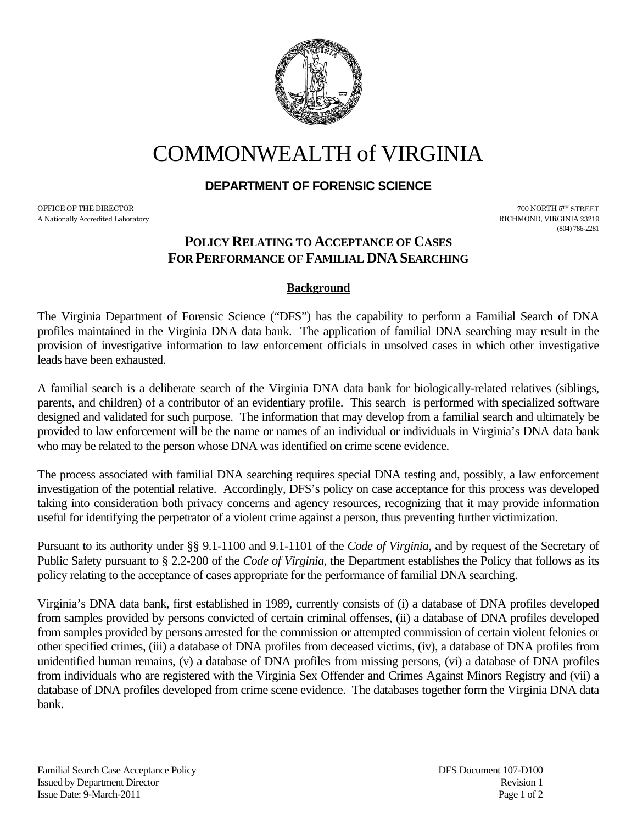

# COMMONWEALTH of VIRGINIA

# **DEPARTMENT OF FORENSIC SCIENCE**

OFFICE OF THE DIRECTOR TO A SUBSECTOR THE STREET TO A SUBSECT A STREET TO A SUBSECT A STREET TO A SUBSECT OF THE STREET A Nationally Accredited Laboratory RICHMOND, VIRGINIA 23219

(804) 786-2281

# **POLICY RELATING TO ACCEPTANCE OF CASES FOR PERFORMANCE OF FAMILIAL DNA SEARCHING**

#### **Background**

The Virginia Department of Forensic Science ("DFS") has the capability to perform a Familial Search of DNA profiles maintained in the Virginia DNA data bank. The application of familial DNA searching may result in the provision of investigative information to law enforcement officials in unsolved cases in which other investigative leads have been exhausted.

A familial search is a deliberate search of the Virginia DNA data bank for biologically-related relatives (siblings, parents, and children) of a contributor of an evidentiary profile. This search is performed with specialized software designed and validated for such purpose. The information that may develop from a familial search and ultimately be provided to law enforcement will be the name or names of an individual or individuals in Virginia's DNA data bank who may be related to the person whose DNA was identified on crime scene evidence.

The process associated with familial DNA searching requires special DNA testing and, possibly, a law enforcement investigation of the potential relative. Accordingly, DFS's policy on case acceptance for this process was developed taking into consideration both privacy concerns and agency resources, recognizing that it may provide information useful for identifying the perpetrator of a violent crime against a person, thus preventing further victimization.

Pursuant to its authority under §§ 9.1-1100 and 9.1-1101 of the *Code of Virginia*, and by request of the Secretary of Public Safety pursuant to § 2.2-200 of the *Code of Virginia*, the Department establishes the Policy that follows as its policy relating to the acceptance of cases appropriate for the performance of familial DNA searching.

Virginia's DNA data bank, first established in 1989, currently consists of (i) a database of DNA profiles developed from samples provided by persons convicted of certain criminal offenses, (ii) a database of DNA profiles developed from samples provided by persons arrested for the commission or attempted commission of certain violent felonies or other specified crimes, (iii) a database of DNA profiles from deceased victims, (iv), a database of DNA profiles from unidentified human remains, (v) a database of DNA profiles from missing persons, (vi) a database of DNA profiles from individuals who are registered with the Virginia Sex Offender and Crimes Against Minors Registry and (vii) a database of DNA profiles developed from crime scene evidence. The databases together form the Virginia DNA data bank.